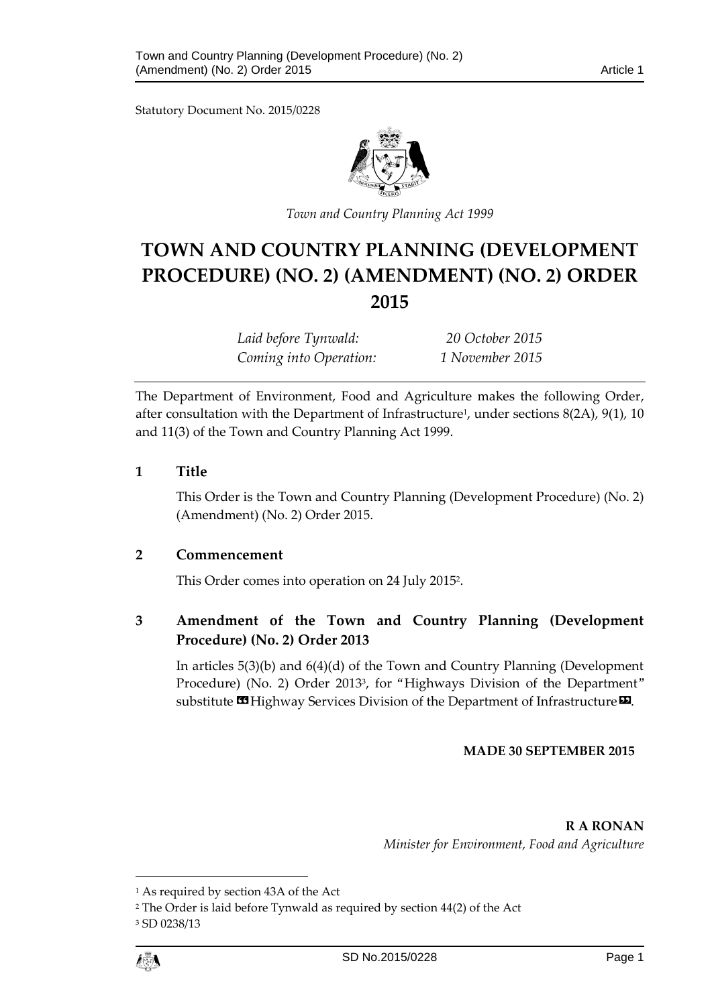Statutory Document No. 2015/0228



*Town and Country Planning Act 1999*

# **TOWN AND COUNTRY PLANNING (DEVELOPMENT PROCEDURE) (NO. 2) (AMENDMENT) (NO. 2) ORDER 2015**

*Laid before Tynwald: 20 October 2015 Coming into Operation: 1 November 2015*

The Department of Environment, Food and Agriculture makes the following Order, after consultation with the Department of Infrastructure<sup>1</sup>, under sections 8(2A), 9(1), 10 and 11(3) of the Town and Country Planning Act 1999.

## **1 Title**

This Order is the Town and Country Planning (Development Procedure) (No. 2) (Amendment) (No. 2) Order 2015.

## **2 Commencement**

This Order comes into operation on 24 July 2015<sup>2</sup> .

## **3 Amendment of the Town and Country Planning (Development Procedure) (No. 2) Order 2013**

In articles 5(3)(b) and 6(4)(d) of the Town and Country Planning (Development Procedure) (No. 2) Order 2013<sup>3</sup> , for "Highways Division of the Department" substitute  $\mathbf{\mathfrak{B}}$  Highway Services Division of the Department of Infrastructure  $\mathbf{\Sigma}$ .

## **MADE 30 SEPTEMBER 2015**

**R A RONAN** *Minister for Environment, Food and Agriculture*

1

<sup>1</sup> As required by section 43A of the Act

<sup>2</sup> The Order is laid before Tynwald as required by section 44(2) of the Act <sup>3</sup> SD 0238/13